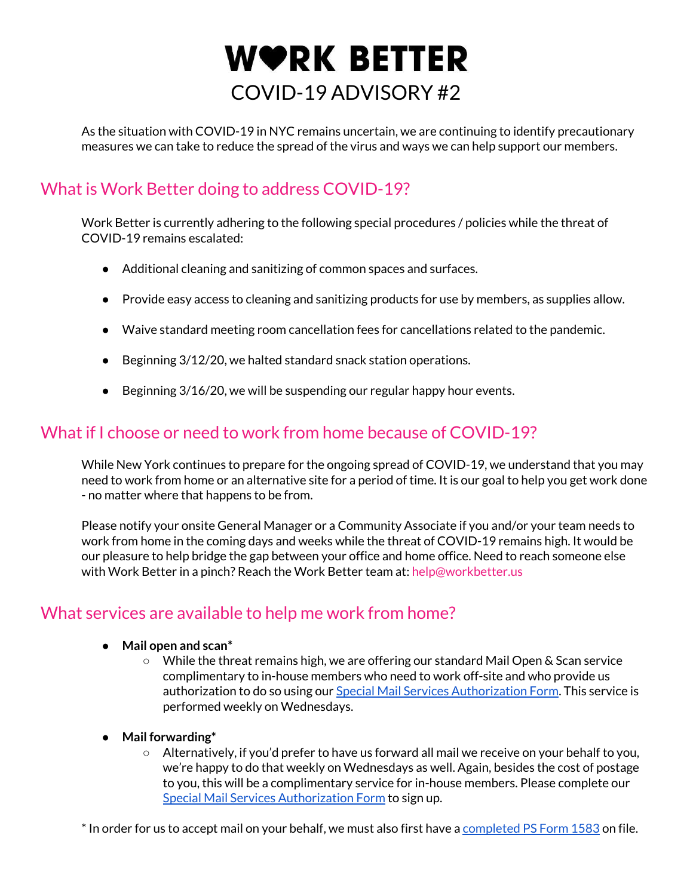# WVRK BETTER COVID-19 ADVISORY #2

As the situation with COVID-19 in NYC remains uncertain, we are continuing to identify precautionary measures we can take to reduce the spread of the virus and ways we can help support our members.

## What is Work Better doing to address COVID-19?

Work Better is currently adhering to the following special procedures / policies while the threat of COVID-19 remains escalated:

- Additional cleaning and sanitizing of common spaces and surfaces.
- Provide easy access to cleaning and sanitizing products for use by members, as supplies allow.
- Waive standard meeting room cancellation fees for cancellations related to the pandemic.
- Beginning 3/12/20, we halted standard snack station operations.
- Beginning 3/16/20, we will be suspending our regular happy hour events.

## What if I choose or need to work from home because of COVID-19?

While New York continues to prepare for the ongoing spread of COVID-19, we understand that you may need to work from home or an alternative site for a period of time. It is our goal to help you get work done - no matter where that happens to be from.

Please notify your onsite General Manager or a Community Associate if you and/or your team needs to work from home in the coming days and weeks while the threat of COVID-19 remains high. It would be our pleasure to help bridge the gap between your office and home office. Need to reach someone else with Work Better in a pinch? Reach the Work Better team at: help@workbetter.us

## What services are available to help me work from home?

#### **● Mail open and scan\***

- While the threat remains high, we are offering our standard Mail Open & Scan service complimentary to in-house members who need to work off-site and who provide us authorization to do so using our Special Mail Services [Authorization](https://www.workbetter.us/hubfs/docs/Special%20Mail%20Services%20Authorization%20Form.pdf) Form. This service is performed weekly on Wednesdays.
- **● Mail forwarding\***
	- Alternatively, if you'd prefer to have us forward all mail we receive on your behalf to you, we're happy to do that weekly on Wednesdays as well. Again, besides the cost of postage to you, this will be a complimentary service for in-house members. Please complete our Special Mail Services [Authorization](https://www.workbetter.us/hubfs/docs/Special%20Mail%20Services%20Authorization%20Form.pdf) Form to sign up.

\* In order for us to accept mail on your behalf, we must also first have a [completed](https://about.usps.com/forms/ps1583.pdf) PS Form 1583 on file.